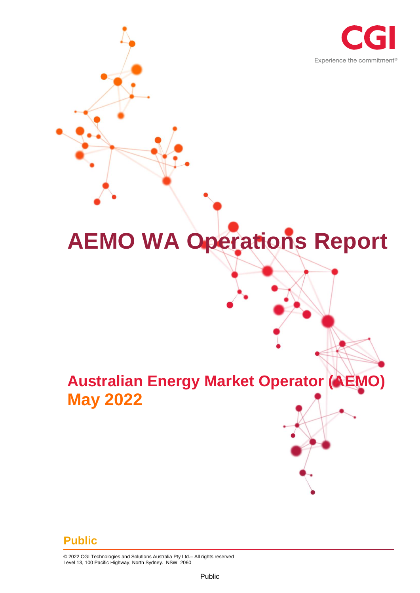

# **AEMO WA Operations Report**

## **Australian Energy Market Operator (AEMO) May 2022**

#### **Public**

© 2022 CGI Technologies and Solutions Australia Pty Ltd.– All rights reserved Level 13, 100 Pacific Highway, North Sydney. NSW 2060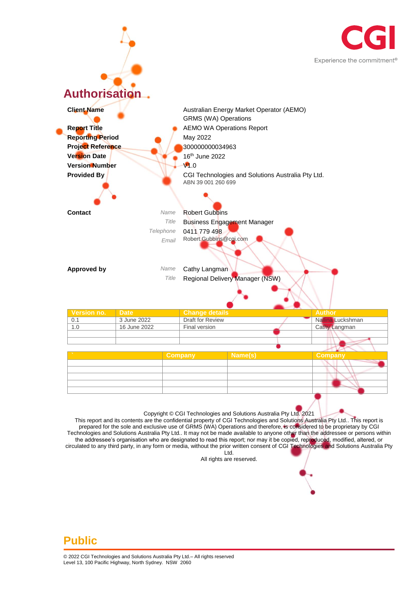



prepared for the sole and exclusive use of GRMS (WA) Operations and therefore, is considered to be proprietary by CGI Technologies and Solutions Australia Pty Ltd.. It may not be made available to anyone other than the addressee or persons within the addressee's organisation who are designated to read this report; nor may it be copied, reproduced, modified, altered, or circulated to any third party, in any form or media, without the prior written consent of CGI Technologies and Solutions Australia Pty Ltd.

All rights are reserved.

#### **Public**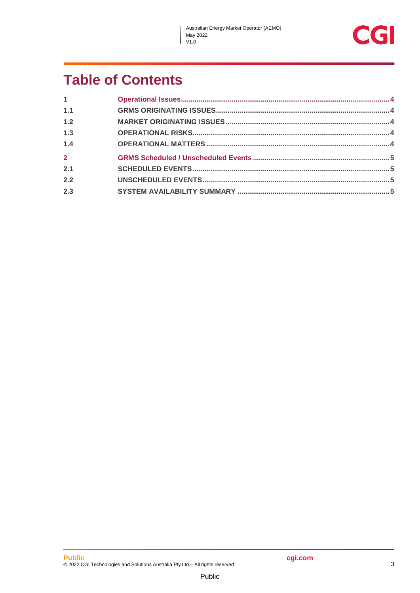$\mathbf{I}$ 



## **Table of Contents**

| 1 <sup>1</sup> |  |
|----------------|--|
| 1.1            |  |
| 1.2            |  |
| 1.3            |  |
| 1.4            |  |
| $\overline{2}$ |  |
| 2.1            |  |
| 2.2            |  |
| 2.3            |  |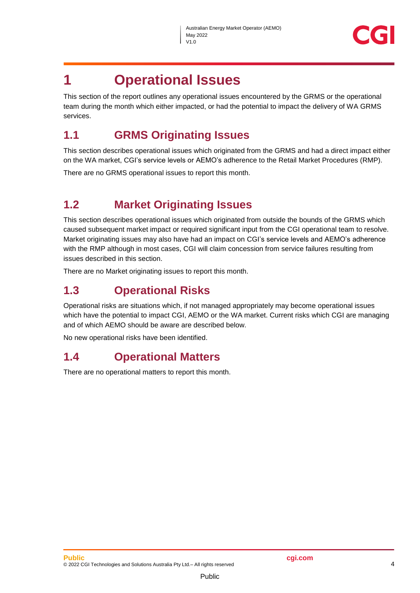

### <span id="page-3-0"></span>**1 Operational Issues**

This section of the report outlines any operational issues encountered by the GRMS or the operational team during the month which either impacted, or had the potential to impact the delivery of WA GRMS services.

#### <span id="page-3-1"></span>**1.1 GRMS Originating Issues**

This section describes operational issues which originated from the GRMS and had a direct impact either on the WA market, CGI's service levels or AEMO's adherence to the Retail Market Procedures (RMP).

There are no GRMS operational issues to report this month.

#### <span id="page-3-2"></span>**1.2 Market Originating Issues**

This section describes operational issues which originated from outside the bounds of the GRMS which caused subsequent market impact or required significant input from the CGI operational team to resolve. Market originating issues may also have had an impact on CGI's service levels and AEMO's adherence with the RMP although in most cases, CGI will claim concession from service failures resulting from issues described in this section.

There are no Market originating issues to report this month.

#### <span id="page-3-3"></span>**1.3 Operational Risks**

Operational risks are situations which, if not managed appropriately may become operational issues which have the potential to impact CGI, AEMO or the WA market. Current risks which CGI are managing and of which AEMO should be aware are described below.

No new operational risks have been identified.

#### <span id="page-3-4"></span>**1.4 Operational Matters**

There are no operational matters to report this month.

Public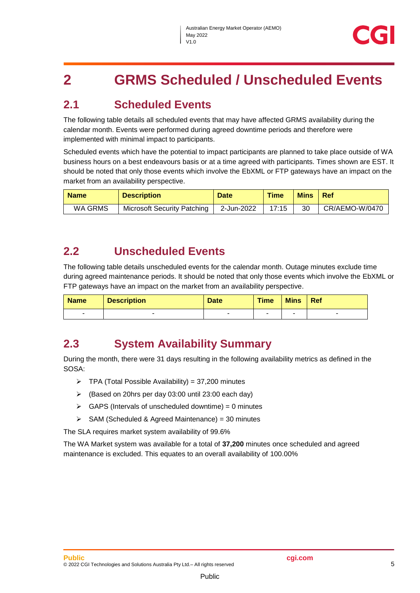## <span id="page-4-0"></span>**2 GRMS Scheduled / Unscheduled Events**

#### <span id="page-4-1"></span>**2.1 Scheduled Events**

The following table details all scheduled events that may have affected GRMS availability during the calendar month. Events were performed during agreed downtime periods and therefore were implemented with minimal impact to participants.

Scheduled events which have the potential to impact participants are planned to take place outside of WA business hours on a best endeavours basis or at a time agreed with participants. Times shown are EST. It should be noted that only those events which involve the EbXML or FTP gateways have an impact on the market from an availability perspective.

| <b>Name</b> | <b>Description</b>                 | <b>Date</b> | <b>Time</b> | <b>Mins</b> | <b>Ref</b>     |
|-------------|------------------------------------|-------------|-------------|-------------|----------------|
| WA GRMS     | <b>Microsoft Security Patching</b> | 2-Jun-2022  | 17:15       | 30          | CR/AEMO-W/0470 |

#### <span id="page-4-2"></span>**2.2 Unscheduled Events**

The following table details unscheduled events for the calendar month. Outage minutes exclude time during agreed maintenance periods. It should be noted that only those events which involve the EbXML or FTP gateways have an impact on the market from an availability perspective.

| <b>Name</b> | <b>Description</b> | <b>Date</b> | <b>Time</b> | <b>Mins</b> | Ref |
|-------------|--------------------|-------------|-------------|-------------|-----|
| -           |                    |             |             |             | -   |

#### <span id="page-4-3"></span>**2.3 System Availability Summary**

During the month, there were 31 days resulting in the following availability metrics as defined in the SOSA:

- $\triangleright$  TPA (Total Possible Availability) = 37,200 minutes
- (Based on 20hrs per day 03:00 until 23:00 each day)
- $\triangleright$  GAPS (Intervals of unscheduled downtime) = 0 minutes
- $\triangleright$  SAM (Scheduled & Agreed Maintenance) = 30 minutes

The SLA requires market system availability of 99.6%

The WA Market system was available for a total of **37,200** minutes once scheduled and agreed maintenance is excluded. This equates to an overall availability of 100.00%